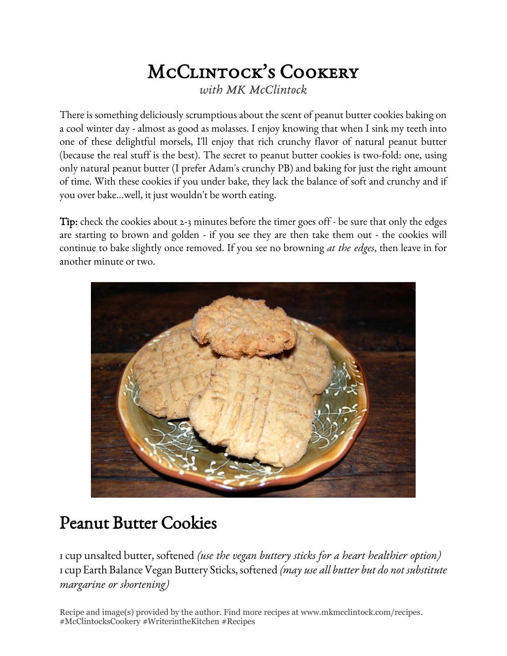## McClintock's Cookery *with MK McClintock*

There is something deliciously scrumptious about the scent of peanut butter cookies baking on a cool winter day - almost as good as molasses. I enjoy knowing that when I sink my teeth into one of these delightful morsels, I'll enjoy that rich crunchy flavor of natural peanut butter (because the real stuff is the best). The secret to peanut butter cookies is two-fold: one, using only natural peanut butter (I prefer Adam's crunchy PB) and baking for just the right amount of time. With these cookies if you under bake, they lack the balance of soft and crunchy and if you over bake...well, it just wouldn't be worth eating.

Tip: check the cookies about 2-3 minutes before the timer goes off - be sure that only the edges are starting to brown and golden - if you see they are then take them out - the cookies will continue to bake slightly once removed. If you see no browning *at the edges*, then leave in for another minute or two.



## Peanut Butter Cookies

1 cup unsalted butter, softened *(use the vegan buttery sticks for a heart healthier option)* 1 cup Earth Balance Vegan Buttery Sticks, softened *(may use all butter but do not substitute margarine or shortening)*

Recipe and image(s) provided by the author. Find more recipes at www.mkmcclintock.com/recipes. #McClintocksCookery #WriterintheKitchen #Recipes